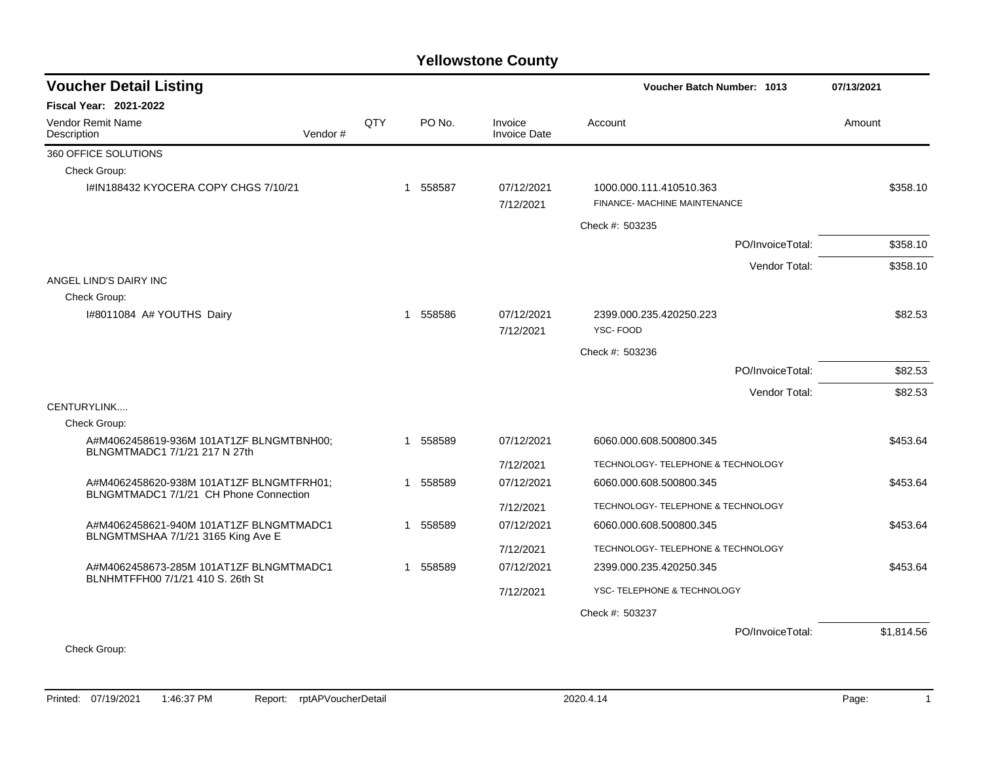## **Yellowstone County**

| <b>Voucher Detail Listing</b>                                                      |  |              |          |                                | <b>Voucher Batch Number: 1013</b>                       | 07/13/2021 |
|------------------------------------------------------------------------------------|--|--------------|----------|--------------------------------|---------------------------------------------------------|------------|
| Fiscal Year: 2021-2022                                                             |  |              |          |                                |                                                         |            |
| Vendor Remit Name<br>Vendor#<br>Description                                        |  | QTY          | PO No.   | Invoice<br><b>Invoice Date</b> | Account                                                 | Amount     |
| 360 OFFICE SOLUTIONS                                                               |  |              |          |                                |                                                         |            |
| Check Group:                                                                       |  |              |          |                                |                                                         |            |
| I#IN188432 KYOCERA COPY CHGS 7/10/21                                               |  | $\mathbf{1}$ | 558587   | 07/12/2021<br>7/12/2021        | 1000.000.111.410510.363<br>FINANCE- MACHINE MAINTENANCE | \$358.10   |
|                                                                                    |  |              |          |                                | Check #: 503235                                         |            |
|                                                                                    |  |              |          |                                | PO/InvoiceTotal:                                        | \$358.10   |
|                                                                                    |  |              |          |                                | Vendor Total:                                           | \$358.10   |
| ANGEL LIND'S DAIRY INC                                                             |  |              |          |                                |                                                         |            |
| Check Group:                                                                       |  |              |          |                                |                                                         |            |
| I#8011084 A# YOUTHS Dairy                                                          |  |              | 1 558586 | 07/12/2021                     | 2399.000.235.420250.223                                 | \$82.53    |
|                                                                                    |  |              |          | 7/12/2021                      | <b>YSC-FOOD</b>                                         |            |
|                                                                                    |  |              |          |                                | Check #: 503236                                         |            |
|                                                                                    |  |              |          |                                | PO/InvoiceTotal:                                        | \$82.53    |
|                                                                                    |  |              |          |                                | Vendor Total:                                           | \$82.53    |
| CENTURYLINK                                                                        |  |              |          |                                |                                                         |            |
| Check Group:                                                                       |  |              |          |                                |                                                         |            |
| A#M4062458619-936M 101AT1ZF BLNGMTBNH00;<br>BLNGMTMADC1 7/1/21 217 N 27th          |  |              | 1 558589 | 07/12/2021                     | 6060.000.608.500800.345                                 | \$453.64   |
|                                                                                    |  |              |          | 7/12/2021                      | TECHNOLOGY- TELEPHONE & TECHNOLOGY                      |            |
| A#M4062458620-938M 101AT1ZF BLNGMTFRH01;<br>BLNGMTMADC1 7/1/21 CH Phone Connection |  |              | 1 558589 | 07/12/2021                     | 6060.000.608.500800.345                                 | \$453.64   |
|                                                                                    |  |              |          | 7/12/2021                      | TECHNOLOGY- TELEPHONE & TECHNOLOGY                      |            |
| A#M4062458621-940M 101AT1ZF BLNGMTMADC1                                            |  | -1           | 558589   | 07/12/2021                     | 6060.000.608.500800.345                                 | \$453.64   |
| BLNGMTMSHAA 7/1/21 3165 King Ave E                                                 |  |              |          | 7/12/2021                      | TECHNOLOGY- TELEPHONE & TECHNOLOGY                      |            |
| A#M4062458673-285M 101AT1ZF BLNGMTMADC1                                            |  |              | 1 558589 | 07/12/2021                     | 2399.000.235.420250.345                                 | \$453.64   |
| BLNHMTFFH00 7/1/21 410 S. 26th St                                                  |  |              |          | 7/12/2021                      | YSC-TELEPHONE & TECHNOLOGY                              |            |
|                                                                                    |  |              |          |                                |                                                         |            |
|                                                                                    |  |              |          |                                | Check #: 503237                                         |            |
| Check Group:                                                                       |  |              |          |                                | PO/InvoiceTotal:                                        | \$1,814.56 |

Printed: 07/19/2021 1:46:37 PM Report: rptAPVoucherDetail 2020.4.14 2020.4.14 2020.4.14 Page: 1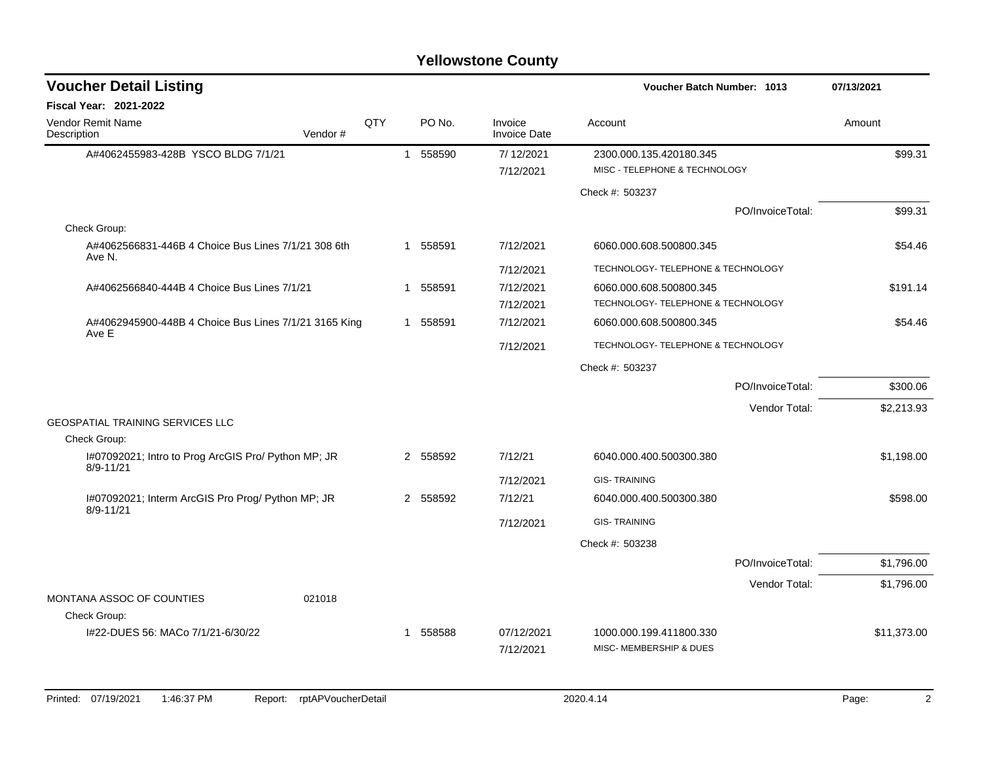## **Yellowstone County**

| <b>Voucher Detail Listing</b>                                        |         |     |    |          |                                | Voucher Batch Number: 1013                               |                  | 07/13/2021  |
|----------------------------------------------------------------------|---------|-----|----|----------|--------------------------------|----------------------------------------------------------|------------------|-------------|
| <b>Fiscal Year: 2021-2022</b>                                        |         |     |    |          |                                |                                                          |                  |             |
| <b>Vendor Remit Name</b><br>Description                              | Vendor# | QTY |    | PO No.   | Invoice<br><b>Invoice Date</b> | Account                                                  |                  | Amount      |
| A#4062455983-428B YSCO BLDG 7/1/21                                   |         |     |    | 1 558590 | 7/12/2021<br>7/12/2021         | 2300.000.135.420180.345<br>MISC - TELEPHONE & TECHNOLOGY |                  | \$99.31     |
|                                                                      |         |     |    |          |                                | Check #: 503237                                          |                  |             |
|                                                                      |         |     |    |          |                                |                                                          | PO/InvoiceTotal: | \$99.31     |
| Check Group:                                                         |         |     |    |          |                                |                                                          |                  |             |
| A#4062566831-446B 4 Choice Bus Lines 7/1/21 308 6th<br>Ave N.        |         |     |    | 1 558591 | 7/12/2021                      | 6060.000.608.500800.345                                  |                  | \$54.46     |
|                                                                      |         |     |    |          | 7/12/2021                      | TECHNOLOGY- TELEPHONE & TECHNOLOGY                       |                  |             |
| A#4062566840-444B 4 Choice Bus Lines 7/1/21                          |         |     | -1 | 558591   | 7/12/2021                      | 6060.000.608.500800.345                                  |                  | \$191.14    |
|                                                                      |         |     |    |          | 7/12/2021                      | TECHNOLOGY- TELEPHONE & TECHNOLOGY                       |                  |             |
| A#4062945900-448B 4 Choice Bus Lines 7/1/21 3165 King<br>Ave E       |         |     |    | 1 558591 | 7/12/2021                      | 6060.000.608.500800.345                                  |                  | \$54.46     |
|                                                                      |         |     |    |          | 7/12/2021                      | TECHNOLOGY- TELEPHONE & TECHNOLOGY                       |                  |             |
|                                                                      |         |     |    |          |                                | Check #: 503237                                          |                  |             |
|                                                                      |         |     |    |          |                                |                                                          | PO/InvoiceTotal: | \$300.06    |
|                                                                      |         |     |    |          |                                |                                                          | Vendor Total:    | \$2,213.93  |
| <b>GEOSPATIAL TRAINING SERVICES LLC</b><br>Check Group:              |         |     |    |          |                                |                                                          |                  |             |
| I#07092021; Intro to Prog ArcGIS Pro/ Python MP; JR<br>$8/9 - 11/21$ |         |     |    | 2 558592 | 7/12/21                        | 6040.000.400.500300.380                                  |                  | \$1,198.00  |
|                                                                      |         |     |    |          |                                |                                                          |                  |             |
|                                                                      |         |     |    |          | 7/12/2021                      | <b>GIS-TRAINING</b>                                      |                  |             |
| I#07092021; Interm ArcGIS Pro Prog/ Python MP; JR<br>$8/9 - 11/21$   |         |     |    | 2 558592 | 7/12/21                        | 6040.000.400.500300.380                                  |                  | \$598.00    |
|                                                                      |         |     |    |          | 7/12/2021                      | <b>GIS-TRAINING</b>                                      |                  |             |
|                                                                      |         |     |    |          |                                | Check #: 503238                                          |                  |             |
|                                                                      |         |     |    |          |                                |                                                          | PO/InvoiceTotal: | \$1,796.00  |
|                                                                      |         |     |    |          |                                |                                                          | Vendor Total:    | \$1,796.00  |
| MONTANA ASSOC OF COUNTIES                                            | 021018  |     |    |          |                                |                                                          |                  |             |
| Check Group:                                                         |         |     |    |          |                                |                                                          |                  |             |
| I#22-DUES 56: MACo 7/1/21-6/30/22                                    |         |     |    | 1 558588 | 07/12/2021<br>7/12/2021        | 1000.000.199.411800.330<br>MISC- MEMBERSHIP & DUES       |                  | \$11,373.00 |
|                                                                      |         |     |    |          |                                |                                                          |                  |             |